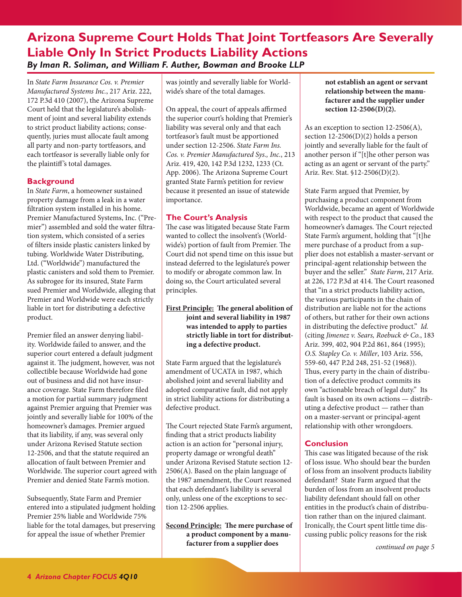# **Arizona Supreme Court Holds That Joint Tortfeasors Are Severally Liable Only In Strict Products Liability Actions** *By Iman R. Soliman, and William F. Auther, Bowman and Brooke LLP*

In *State Farm Insurance Cos. v. Premier Manufactured Systems Inc.*, 217 Ariz. 222, 172 P.3d 410 (2007), the Arizona Supreme Court held that the legislature's abolishment of joint and several liability extends to strict product liability actions; consequently, juries must allocate fault among all party and non-party tortfeasors, and each tortfeasor is severally liable only for the plaintiff 's total damages.

# **Background**

In *State Farm*, a homeowner sustained property damage from a leak in a water filtration system installed in his home. Premier Manufactured Systems, Inc. ("Premier") assembled and sold the water filtration system, which consisted of a series of filters inside plastic canisters linked by tubing. Worldwide Water Distributing, Ltd. ("Worldwide") manufactured the plastic canisters and sold them to Premier. As subrogee for its insured, State Farm sued Premier and Worldwide, alleging that Premier and Worldwide were each strictly liable in tort for distributing a defective product.

Premier filed an answer denying liability. Worldwide failed to answer, and the superior court entered a default judgment against it. The judgment, however, was not collectible because Worldwide had gone out of business and did not have insurance coverage. State Farm therefore filed a motion for partial summary judgment against Premier arguing that Premier was jointly and severally liable for 100% of the homeowner's damages. Premier argued that its liability, if any, was several only under Arizona Revised Statute section 12-2506, and that the statute required an allocation of fault between Premier and Worldwide. The superior court agreed with Premier and denied State Farm's motion.

Subsequently, State Farm and Premier entered into a stipulated judgment holding Premier 25% liable and Worldwide 75% liable for the total damages, but preserving for appeal the issue of whether Premier

was jointly and severally liable for Worldwide's share of the total damages.

On appeal, the court of appeals affirmed the superior court's holding that Premier's liability was several only and that each tortfeasor's fault must be apportioned under section 12-2506. *State Farm Ins. Cos. v. Premier Manufactured Sys., Inc.*, 213 Ariz. 419, 420, 142 P.3d 1232, 1233 (Ct. App. 2006). The Arizona Supreme Court granted State Farm's petition for review because it presented an issue of statewide importance.

# **The Court's Analysis**

The case was litigated because State Farm wanted to collect the insolvent's (Worldwide's) portion of fault from Premier. The Court did not spend time on this issue but instead deferred to the legislature's power to modify or abrogate common law. In doing so, the Court articulated several principles.

**First Principle: The general abolition of joint and several liability in 1987 was intended to apply to parties strictly liable in tort for distributing a defective product.**

State Farm argued that the legislature's amendment of UCATA in 1987, which abolished joint and several liability and adopted comparative fault, did not apply in strict liability actions for distributing a defective product.

The Court rejected State Farm's argument, finding that a strict products liability action is an action for "personal injury, property damage or wrongful death" under Arizona Revised Statute section 12- 2506(A). Based on the plain language of the 1987 amendment, the Court reasoned that each defendant's liability is several only, unless one of the exceptions to section 12-2506 applies.

**Second Principle: The mere purchase of a product component by a manufacturer from a supplier does** 

**not establish an agent or servant relationship between the manufacturer and the supplier under section 12-2506(D)(2).**

As an exception to section 12-2506(A), section 12-2506(D)(2) holds a person jointly and severally liable for the fault of another person if "[t]he other person was acting as an agent or servant of the party." Ariz. Rev. Stat. §12-2506(D)(2).

State Farm argued that Premier, by purchasing a product component from Worldwide, became an agent of Worldwide with respect to the product that caused the homeowner's damages. The Court rejected State Farm's argument, holding that "[t]he mere purchase of a product from a supplier does not establish a master-servant or principal-agent relationship between the buyer and the seller." *State Farm*, 217 Ariz. at 226, 172 P.3d at 414. The Court reasoned that "in a strict products liability action, the various participants in the chain of distribution are liable not for the actions of others, but rather for their own actions in distributing the defective product." *Id.* (citing *Jimenez v. Sears, Roebuck & Co.*, 183 Ariz. 399, 402, 904 P.2d 861, 864 (1995); *O.S. Stapley Co. v. Miller*, 103 Ariz. 556, 559-60, 447 P.2d 248, 251-52 (1968)). Thus, every party in the chain of distribution of a defective product commits its own "actionable breach of legal duty." Its fault is based on its own actions — distributing a defective product — rather than on a master-servant or principal-agent relationship with other wrongdoers.

# **Conclusion**

This case was litigated because of the risk of loss issue. Who should bear the burden of loss from an insolvent products liability defendant? State Farm argued that the burden of loss from an insolvent products liability defendant should fall on other entities in the product's chain of distribution rather than on the injured claimant. Ironically, the Court spent little time discussing public policy reasons for the risk

*continued on page*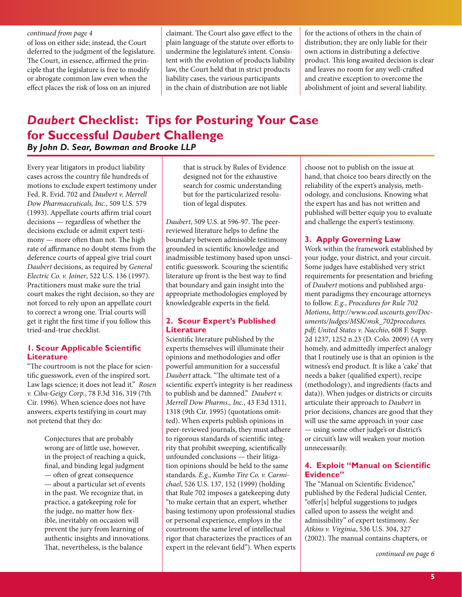#### *continued from page*

of loss on either side; instead, the Court deferred to the judgment of the legislature. The Court, in essence, affirmed the principle that the legislature is free to modify or abrogate common law even when the effect places the risk of loss on an injured

claimant. The Court also gave effect to the plain language of the statute over efforts to undermine the legislature's intent. Consistent with the evolution of products liability law, the Court held that in strict products liability cases, the various participants in the chain of distribution are not liable

for the actions of others in the chain of distribution; they are only liable for their own actions in distributing a defective product. This long awaited decision is clear and leaves no room for any well-crafted and creative exception to overcome the abolishment of joint and several liability.

# *Daubert* **Checklist: Tips for Posturing Your Case for Successful** *Daubert* **Challenge** *By John D. Sear, Bowman and Brooke LLP*

Every year litigators in product liability cases across the country file hundreds of motions to exclude expert testimony under Fed. R. Evid. 702 and *Daubert v. Merrell Dow Pharmaceuticals, Inc.*, 509 U.S. 579 (1993). Appellate courts affirm trial court decisions — regardless of whether the decisions exclude or admit expert testimony — more often than not. The high rate of affirmance no doubt stems from the deference courts of appeal give trial court *Daubert* decisions, as required by *General Electric Co. v. Joiner*, 522 U.S. 136 (1997). Practitioners must make sure the trial court makes the right decision, so they are not forced to rely upon an appellate court to correct a wrong one. Trial courts will get it right the first time if you follow this tried-and-true checklist.

## **1. Scour Applicable Scientific Literature**

"The courtroom is not the place for scientific guesswork, even of the inspired sort. Law lags science; it does not lead it." *Rosen v. Ciba-Geigy Corp.*, 78 F.3d 316, 319 (7th Cir. 1996). When science does not have answers, experts testifying in court may not pretend that they do:

> Conjectures that are probably wrong are of little use, however, in the project of reaching a quick, final, and binding legal judgment — often of great consequence — about a particular set of events in the past. We recognize that, in practice, a gatekeeping role for the judge, no matter how flexible, inevitably on occasion will prevent the jury from learning of authentic insights and innovations. That, nevertheless, is the balance

that is struck by Rules of Evidence designed not for the exhaustive search for cosmic understanding but for the particularized resolution of legal disputes.

*Daubert*, 509 U.S. at 596-97. The peerreviewed literature helps to define the boundary between admissible testimony grounded in scientific knowledge and inadmissible testimony based upon unscientific guesswork. Scouring the scientific literature up front is the best way to find that boundary and gain insight into the appropriate methodologies employed by knowledgeable experts in the field.

## **2. Scour Expert's Published Literature**

Scientific literature published by the experts themselves will illuminate their opinions and methodologies and offer powerful ammunition for a successful *Daubert* attack. "The ultimate test of a scientific expert's integrity is her readiness to publish and be damned." *Daubert v. Merrell Dow Pharms., Inc.*, 43 F.3d 1311, 1318 (9th Cir. 1995) (quotations omitted). When experts publish opinions in peer-reviewed journals, they must adhere to rigorous standards of scientific integrity that prohibit sweeping, scientifically unfounded conclusions — their litigation opinions should be held to the same standards. *E.g.*, *Kumho Tire Co. v. Carmichael*, 526 U.S. 137, 152 (1999) (holding that Rule 702 imposes a gatekeeping duty "to make certain that an expert, whether basing testimony upon professional studies or personal experience, employs in the courtroom the same level of intellectual rigor that characterizes the practices of an expert in the relevant field"). When experts choose not to publish on the issue at hand, that choice too bears directly on the reliability of the expert's analysis, methodology, and conclusions. Knowing what the expert has and has not written and published will better equip you to evaluate and challenge the expert's testimony.

## **3. Apply Governing Law**

Work within the framework established by your judge, your district, and your circuit. Some judges have established very strict requirements for presentation and briefing of *Daubert* motions and published argument paradigms they encourage attorneys to follow. *E.g.*, *Procedures for Rule 702 Motions*, *[http://www.cod.uscourts.gov/Doc]( http://www.cod.uscourts.gov/Documents/Judges/MSK/msk_702procedures.pdf)[uments/Judges/MSK/msk\\_702procedures.]( http://www.cod.uscourts.gov/Documents/Judges/MSK/msk_702procedures.pdf) [pdf]( http://www.cod.uscourts.gov/Documents/Judges/MSK/msk_702procedures.pdf)*; *United States v. Nacchio*, 608 F. Supp. 2d 1237, 1252 n.23 (D. Colo. 2009) (A very homely, and admittedly imperfect analogy that I routinely use is that an opinion is the witness's end product. It is like a 'cake' that needs a baker (qualified expert), recipe (methodology), and ingredients (facts and data)). When judges or districts or circuits articulate their approach to *Daubert* in prior decisions, chances are good that they will use the same approach in your case — using some other judge's or district's or circuit's law will weaken your motion unnecessarily.

## **4. Exploit "Manual on Scientific Evidence"**

The "Manual on Scientific Evidence," published by the Federal Judicial Center, "offer[s] helpful suggestions to judges called upon to assess the weight and admissibility" of expert testimony. *See Atkins v. Virginia*, 536 U.S. 304, 327 (2002). The manual contains chapters, or

*continued on page*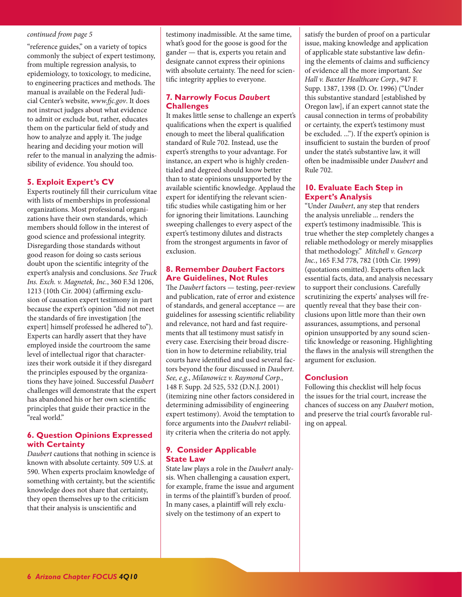#### <span id="page-2-0"></span>*continued from page*

"reference guides," on a variety of topics commonly the subject of expert testimony, from multiple regression analysis, to epidemiology, to toxicology, to medicine, to engineering practices and methods. The manual is available on the Federal Judicial Center's website, *[www.fjc.gov](http://www.fjc.gov)*. It does not instruct judges about what evidence to admit or exclude but, rather, educates them on the particular field of study and how to analyze and apply it. The judge hearing and deciding your motion will refer to the manual in analyzing the admissibility of evidence. You should too.

#### **5. Exploit Expert's CV**

Experts routinely fill their curriculum vitae with lists of memberships in professional organizations. Most professional organizations have their own standards, which members should follow in the interest of good science and professional integrity. Disregarding those standards without good reason for doing so casts serious doubt upon the scientific integrity of the expert's analysis and conclusions. *See Truck Ins. Exch. v. Magnetek, Inc.*, 360 F.3d 1206, 1213 (10th Cir. 2004) (affirming exclusion of causation expert testimony in part because the expert's opinion "did not meet the standards of fire investigation [the expert] himself professed he adhered to"). Experts can hardly assert that they have employed inside the courtroom the same level of intellectual rigor that characterizes their work outside it if they disregard the principles espoused by the organizations they have joined. Successful *Daubert* challenges will demonstrate that the expert has abandoned his or her own scientific principles that guide their practice in the "real world."

#### **6. Question Opinions Expressed with Certainty**

*Daubert* cautions that nothing in science is known with absolute certainty. 509 U.S. at 590. When experts proclaim knowledge of something with certainty, but the scientific knowledge does not share that certainty, they open themselves up to the criticism that their analysis is unscientific and

testimony inadmissible. At the same time, what's good for the goose is good for the gander — that is, experts you retain and designate cannot express their opinions with absolute certainty. The need for scientific integrity applies to everyone.

## **7. Narrowly Focus** *Daubert* **Challenges**

It makes little sense to challenge an expert's qualifications when the expert is qualified enough to meet the liberal qualification standard of Rule 702. Instead, use the expert's strengths to your advantage. For instance, an expert who is highly credentialed and degreed should know better than to state opinions unsupported by the available scientific knowledge. Applaud the expert for identifying the relevant scientific studies while castigating him or her for ignoring their limitations. Launching sweeping challenges to every aspect of the expert's testimony dilutes and distracts from the strongest arguments in favor of exclusion.

## **8. Remember** *Daubert* **Factors Are Guidelines, Not Rules**

The *Daubert* factors — testing, peer-review and publication, rate of error and existence of standards, and general acceptance — are guidelines for assessing scientific reliability and relevance, not hard and fast requirements that all testimony must satisfy in every case. Exercising their broad discretion in how to determine reliability, trial courts have identified and used several factors beyond the four discussed in *Daubert*. *See, e.g.*, *Milanowicz v. Raymond Corp.*, 148 F. Supp. 2d 525, 532 (D.N.J. 2001) (itemizing nine other factors considered in determining admissibility of engineering expert testimony). Avoid the temptation to force arguments into the *Daubert* reliability criteria when the criteria do not apply.

#### **9. Consider Applicable State Law**

State law plays a role in the *Daubert* analysis. When challenging a causation expert, for example, frame the issue and argument in terms of the plaintiff 's burden of proof. In many cases, a plaintiff will rely exclusively on the testimony of an expert to

satisfy the burden of proof on a particular issue, making knowledge and application of applicable state substantive law defining the elements of claims and sufficiency of evidence all the more important. *See Hall v. Baxter Healthcare Corp.*, 947 F. Supp. 1387, 1398 (D. Or. 1996) ("Under this substantive standard [established by Oregon law], if an expert cannot state the causal connection in terms of probability or certainty, the expert's testimony must be excluded. ..."). If the expert's opinion is insufficient to sustain the burden of proof under the state's substantive law, it will often be inadmissible under *Daubert* and Rule 702.

#### **10. Evaluate Each Step in Expert's Analysis**

"Under *Daubert*, any step that renders the analysis unreliable ... renders the expert's testimony inadmissible. This is true whether the step completely changes a reliable methodology or merely misapplies that methodology." *Mitchell v. Gencorp Inc.*, 165 F.3d 778, 782 (10th Cir. 1999) (quotations omitted). Experts often lack essential facts, data, and analysis necessary to support their conclusions. Carefully scrutinizing the experts' analyses will frequently reveal that they base their conclusions upon little more than their own assurances, assumptions, and personal opinion unsupported by any sound scientific knowledge or reasoning. Highlighting the flaws in the analysis will strengthen the argument for exclusion.

#### **Conclusion**

Following this checklist will help focus the issues for the trial court, increase the chances of success on any *Daubert* motion, and preserve the trial court's favorable ruling on appeal.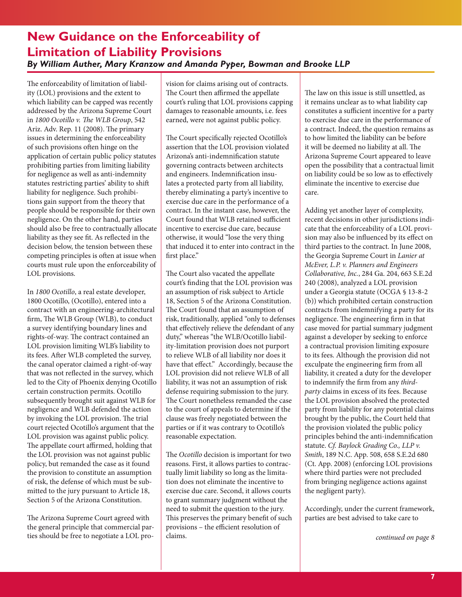The enforceability of limitation of liability (LOL) provisions and the extent to which liability can be capped was recently addressed by the Arizona Supreme Court in *1800 Ocotillo v. The WLB Group*, 542 Ariz. Adv. Rep. 11 (2008). The primary issues in determining the enforceability of such provisions often hinge on the application of certain public policy statutes prohibiting parties from limiting liability for negligence as well as anti-indemnity statutes restricting parties' ability to shift liability for negligence. Such prohibitions gain support from the theory that people should be responsible for their own negligence. On the other hand, parties should also be free to contractually allocate liability as they see fit. As reflected in the decision below, the tension between these competing principles is often at issue when courts must rule upon the enforceability of LOL provisions.

In *1800 Ocotillo*, a real estate developer, 1800 Ocotillo, (Ocotillo), entered into a contract with an engineering-architectural firm, The WLB Group (WLB), to conduct a survey identifying boundary lines and rights-of-way. The contract contained an LOL provision limiting WLB's liability to its fees. After WLB completed the survey, the canal operator claimed a right-of-way that was not reflected in the survey, which led to the City of Phoenix denying Ocotillo certain construction permits. Ocotillo subsequently brought suit against WLB for negligence and WLB defended the action by invoking the LOL provision. The trial court rejected Ocotillo's argument that the LOL provision was against public policy. The appellate court affirmed, holding that the LOL provision was not against public policy, but remanded the case as it found the provision to constitute an assumption of risk, the defense of which must be submitted to the jury pursuant to Article 18, Section 5 of the Arizona Constitution.

The Arizona Supreme Court agreed with the general principle that commercial parties should be free to negotiate a LOL provision for claims arising out of contracts. The Court then affirmed the appellate court's ruling that LOL provisions capping damages to reasonable amounts, i.e. fees earned, were not against public policy.

The Court specifically rejected Ocotillo's assertion that the LOL provision violated Arizona's anti-indemnification statute governing contracts between architects and engineers. Indemnification insulates a protected party from all liability, thereby eliminating a party's incentive to exercise due care in the performance of a contract. In the instant case, however, the Court found that WLB retained sufficient incentive to exercise due care, because otherwise, it would "lose the very thing that induced it to enter into contract in the first place."

The Court also vacated the appellate court's finding that the LOL provision was an assumption of risk subject to Article 18, Section 5 of the Arizona Constitution. The Court found that an assumption of risk, traditionally, applied "only to defenses that effectively relieve the defendant of any duty," whereas "the WLB/Ocotillo liability-limitation provision does not purport to relieve WLB of all liability nor does it have that effect." Accordingly, because the LOL provision did not relieve WLB of all liability, it was not an assumption of risk defense requiring submission to the jury. The Court nonetheless remanded the case to the court of appeals to determine if the clause was freely negotiated between the parties or if it was contrary to Ocotillo's reasonable expectation.

The *Ocotillo* decision is important for two reasons. First, it allows parties to contractually limit liability so long as the limitation does not eliminate the incentive to exercise due care. Second, it allows courts to grant summary judgment without the need to submit the question to the jury. This preserves the primary benefit of such provisions – the efficient resolution of claims.

The law on this issue is still unsettled, as it remains unclear as to what liability cap constitutes a sufficient incentive for a party to exercise due care in the performance of a contract. Indeed, the question remains as to how limited the liability can be before it will be deemed no liability at all. The Arizona Supreme Court appeared to leave open the possibility that a contractual limit on liability could be so low as to effectively eliminate the incentive to exercise due care.

Adding yet another layer of complexity, recent decisions in other jurisdictions indicate that the enforceability of a LOL provision may also be influenced by its effect on third parties to the contract. In June 2008, the Georgia Supreme Court in *Lanier at McEver, L.P. v. Planners and Engineers Collaborative, Inc.*, 284 Ga. 204, 663 S.E.2d 240 (2008), analyzed a LOL provision under a Georgia statute (OCGA § 13-8-2 (b)) which prohibited certain construction contracts from indemnifying a party for its negligence. The engineering firm in that case moved for partial summary judgment against a developer by seeking to enforce a contractual provision limiting exposure to its fees. Although the provision did not exculpate the engineering firm from all liability, it created a duty for the developer to indemnify the firm from any *thirdparty* claims in excess of its fees. Because the LOL provision absolved the protected party from liability for any potential claims brought by the public, the Court held that the provision violated the public policy principles behind the anti-indemnification statute. *Cf. Baylock Grading Co., LLP v. Smith*, 189 N.C. App. 508, 658 S.E.2d 680 (Ct. App. 2008) (enforcing LOL provisions where third parties were not precluded from bringing negligence actions against the negligent party).

Accordingly, under the current framework, parties are best advised to take care to

*continued on page*